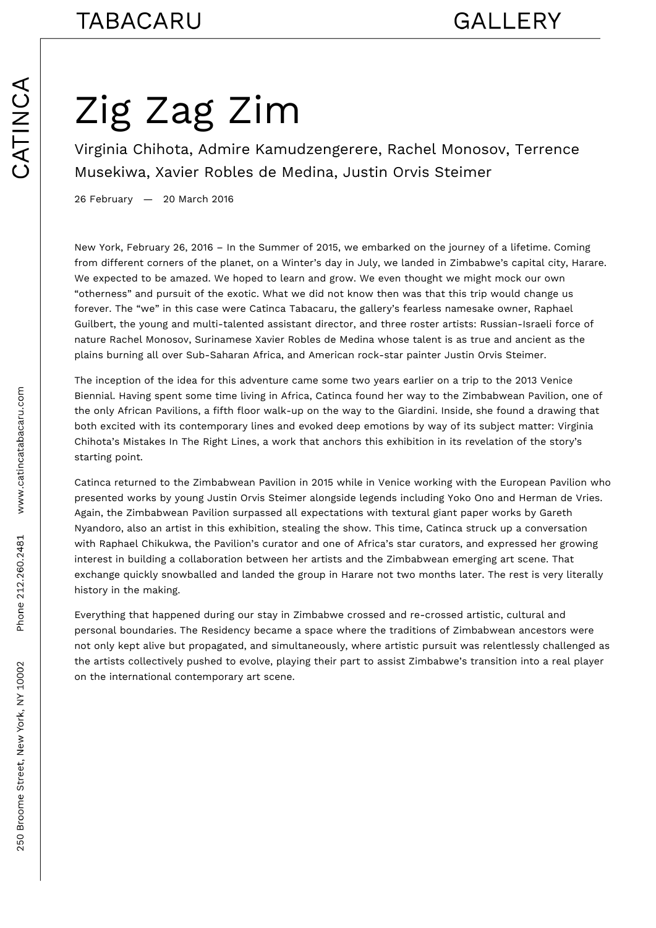## Zig Zag Zim

Virginia Chihota, Admire Kamudzengerere, Rachel Monosov, Terrence Musekiwa, Xavier Robles de Medina, Justin Orvis Steimer

26 February — 20 March 2016

New York, February 26, 2016 – In the Summer of 2015, we embarked on the journey of a lifetime. Coming from different corners of the planet, on a Winter's day in July, we landed in Zimbabwe's capital city, Harare. We expected to be amazed. We hoped to learn and grow. We even thought we might mock our own "otherness" and pursuit of the exotic. What we did not know then was that this trip would change us forever. The "we" in this case were Catinca Tabacaru, the gallery's fearless namesake owner, Raphael Guilbert, the young and multi-talented assistant director, and three roster artists: Russian-Israeli force of nature Rachel Monosov, Surinamese Xavier Robles de Medina whose talent is as true and ancient as the plains burning all over Sub-Saharan Africa, and American rock-star painter Justin Orvis Steimer.

The inception of the idea for this adventure came some two years earlier on a trip to the 2013 Venice Biennial. Having spent some time living in Africa, Catinca found her way to the Zimbabwean Pavilion, one of the only African Pavilions, a fifth floor walk-up on the way to the Giardini. Inside, she found a drawing that both excited with its contemporary lines and evoked deep emotions by way of its subject matter: Virginia Chihota's Mistakes In The Right Lines, a work that anchors this exhibition in its revelation of the story's starting point.

Catinca returned to the Zimbabwean Pavilion in 2015 while in Venice working with the European Pavilion who presented works by young Justin Orvis Steimer alongside legends including Yoko Ono and Herman de Vries. Again, the Zimbabwean Pavilion surpassed all expectations with textural giant paper works by Gareth Nyandoro, also an artist in this exhibition, stealing the show. This time, Catinca struck up a conversation with Raphael Chikukwa, the Pavilion's curator and one of Africa's star curators, and expressed her growing interest in building a collaboration between her artists and the Zimbabwean emerging art scene. That exchange quickly snowballed and landed the group in Harare not two months later. The rest is very literally history in the making.

Everything that happened during our stay in Zimbabwe crossed and re-crossed artistic, cultural and personal boundaries. The Residency became a space where the traditions of Zimbabwean ancestors were not only kept alive but propagated, and simultaneously, where artistic pursuit was relentlessly challenged as the artists collectively pushed to evolve, playing their part to assist Zimbabwe's transition into a real player on the international contemporary art scene.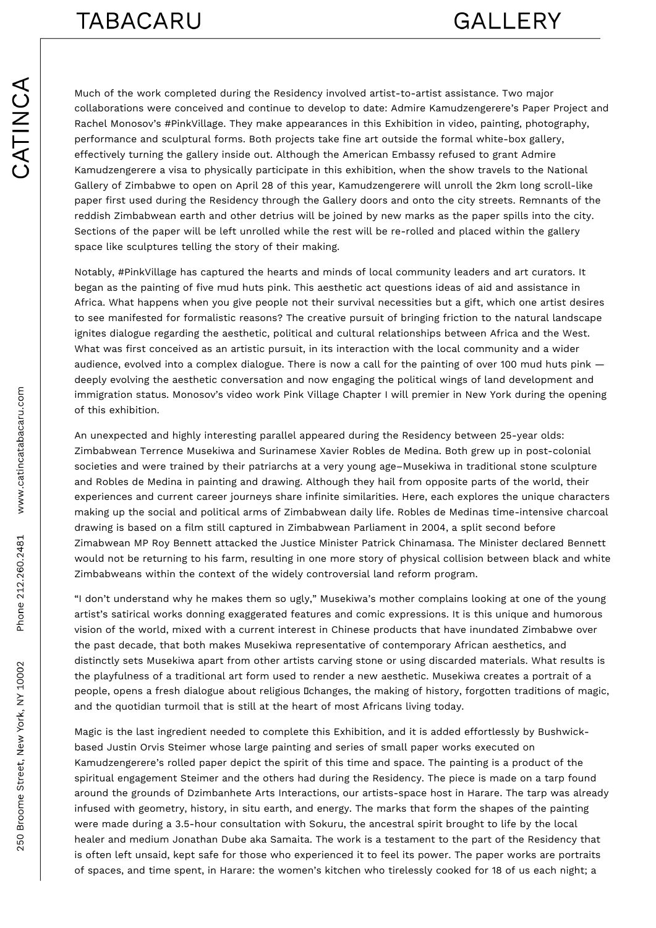## **TABACARU**

Much of the work completed during the Residency involved artist-to-artist assistance. Two major collaborations were conceived and continue to develop to date: Admire Kamudzengerere's Paper Project and Rachel Monosov's #PinkVillage. They make appearances in this Exhibition in video, painting, photography, performance and sculptural forms. Both projects take fine art outside the formal white-box gallery, effectively turning the gallery inside out. Although the American Embassy refused to grant Admire Kamudzengerere a visa to physically participate in this exhibition, when the show travels to the National Gallery of Zimbabwe to open on April 28 of this year, Kamudzengerere will unroll the 2km long scroll-like paper first used during the Residency through the Gallery doors and onto the city streets. Remnants of the reddish Zimbabwean earth and other detrius will be joined by new marks as the paper spills into the city. Sections of the paper will be left unrolled while the rest will be re-rolled and placed within the gallery space like sculptures telling the story of their making.

Notably, #PinkVillage has captured the hearts and minds of local community leaders and art curators. It began as the painting of five mud huts pink. This aesthetic act questions ideas of aid and assistance in Africa. What happens when you give people not their survival necessities but a gift, which one artist desires to see manifested for formalistic reasons? The creative pursuit of bringing friction to the natural landscape ignites dialogue regarding the aesthetic, political and cultural relationships between Africa and the West. What was first conceived as an artistic pursuit, in its interaction with the local community and a wider audience, evolved into a complex dialogue. There is now a call for the painting of over 100 mud huts pink deeply evolving the aesthetic conversation and now engaging the political wings of land development and immigration status. Monosov's video work Pink Village Chapter I will premier in New York during the opening of this exhibition.

An unexpected and highly interesting parallel appeared during the Residency between 25-year olds: Zimbabwean Terrence Musekiwa and Surinamese Xavier Robles de Medina. Both grew up in post-colonial societies and were trained by their patriarchs at a very young age–Musekiwa in traditional stone sculpture and Robles de Medina in painting and drawing. Although they hail from opposite parts of the world, their experiences and current career journeys share infinite similarities. Here, each explores the unique characters making up the social and political arms of Zimbabwean daily life. Robles de Medinas time-intensive charcoal drawing is based on a film still captured in Zimbabwean Parliament in 2004, a split second before Zimabwean MP Roy Bennett attacked the Justice Minister Patrick Chinamasa. The Minister declared Bennett would not be returning to his farm, resulting in one more story of physical collision between black and white Zimbabweans within the context of the widely controversial land reform program.

"I don't understand why he makes them so ugly," Musekiwa's mother complains looking at one of the young artist's satirical works donning exaggerated features and comic expressions. It is this unique and humorous vision of the world, mixed with a current interest in Chinese products that have inundated Zimbabwe over the past decade, that both makes Musekiwa representative of contemporary African aesthetics, and distinctly sets Musekiwa apart from other artists carving stone or using discarded materials. What results is the playfulness of a traditional art form used to render a new aesthetic. Musekiwa creates a portrait of a people, opens a fresh dialogue about religious Dchanges, the making of history, forgotten traditions of magic, and the quotidian turmoil that is still at the heart of most Africans living today.

Magic is the last ingredient needed to complete this Exhibition, and it is added effortlessly by Bushwickbased Justin Orvis Steimer whose large painting and series of small paper works executed on Kamudzengerere's rolled paper depict the spirit of this time and space. The painting is a product of the spiritual engagement Steimer and the others had during the Residency. The piece is made on a tarp found around the grounds of Dzimbanhete Arts Interactions, our artists-space host in Harare. The tarp was already infused with geometry, history, in situ earth, and energy. The marks that form the shapes of the painting were made during a 3.5-hour consultation with Sokuru, the ancestral spirit brought to life by the local healer and medium Jonathan Dube aka Samaita. The work is a testament to the part of the Residency that is often left unsaid, kept safe for those who experienced it to feel its power. The paper works are portraits of spaces, and time spent, in Harare: the women's kitchen who tirelessly cooked for 18 of us each night; a